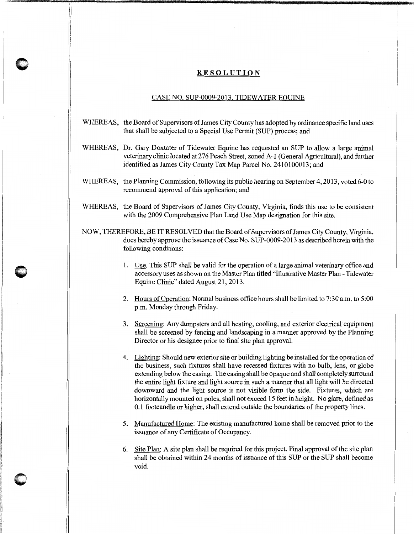## **RESOLUTION**

## CASE NO. SUP-0009-2013. TIDEWATER EQUINE

- WHEREAS, the Board of Supervisors of James City County has adopted by ordinance specific land uses that shall be subjected to a Special Use Permit (SUP) process; and
- WHEREAS, Dr. Gary Doxtater of Tidewater Equine has requested an SUP to allow a large animal veterinary clinic located at 276 Peach Street, zoned A-1 (General Agricultural), and further identified as James City County Tax Map Parcel No. 2410100013; and
- WHEREAS, the Planning Commission, following its public hearing on September 4, 2013, voted 6-0 to recommend approval of this application; and
- WHEREAS, the Board of Supervisors of James City County, Virginia, finds this use to be consistent with the 2009 Comprehensive Plan Land Use Map designation for this site.
- NOW, THEREFORE, BE IT RESOLVED that the Board of Supervisors of James City County, Virginia, does hereby approve the issuance of Case No. SUP-0009-2013 as described herein with the following conditions:
	- 1. Use. This SUP shall be valid for the operation of a large animal veterinary office and accessory uses as shown on the Master Plan titled "Illustrative Master Plan- Tidewater Equine Clinic" dated August 21,2013.
	- 2. Hours of Operation: Normal business office hours shall be limited to 7:30 a.m. to 5:00 p.m. Monday through Friday.
	- 3. Screening: Any dumpsters and all heating, cooling, and exterior electrical equipment shall be screened by fencing and landscaping in a manner approved by the Planning Director or his designee prior to final site plan approval.
	- 4. Lighting: Should new exterior site or building lighting be installed for the operation of the business, such fixtures shall have recessed fixtures with no bulb, lens, or globe extending below the casing. The casing shall be opaque and shall completely surround the entire light fixture and light source in such a manner that all light will be directed downward and the light source is not visible form the side. Fixtures, which are horizontally mounted on poles, shall not exceed 15 feet in height. No glare, defined as 0.1 footcandle or higher, shall extend outside the boundaries of the property lines.
	- 5. Manufactured Home: The existing manufactured home shall be removed prior to the issuance of any Certificate of Occupancy.
	- 6. Site Plan: A site plan shall be required for this project. Final approval of the site plan shall be obtained within 24 months of issuance of this SUP or the SUP shall become void.

**0**